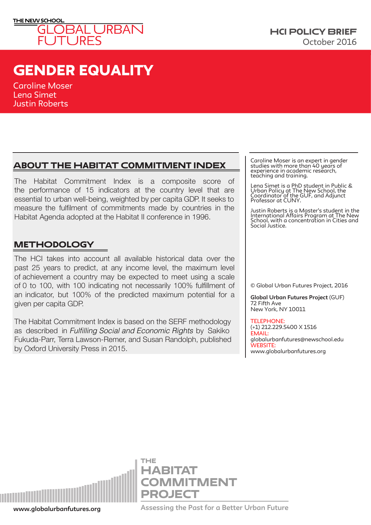

# gENDER EQUALITY

Caroline Moser Lena Simet Justin Roberts

## About the habitat commitment index

The Habitat Commitment Index is a composite score of the performance of 15 indicators at the country level that are essential to urban well-being, weighted by per capita GDP. It seeks to measure the fulfilment of commitments made by countries in the Habitat Agenda adopted at the Habitat II conference in 1996.

## **METHODOLOGY**

The HCI takes into account all available historical data over the past 25 years to predict, at any income level, the maximum level of achievement a country may be expected to meet using a scale of 0 to 100, with 100 indicating not necessarily 100% fulfillment of an indicator, but 100% of the predicted maximum potential for a given per capita GDP.

The Habitat Commitment Index is based on the SERF methodology as described in Fulfilling Social and Economic Rights by Sakiko Fukuda-Parr, Terra Lawson-Remer, and Susan Randolph, published by Oxford University Press in 2015.

Caroline Moser is an expert in gender studies with more than 40 years of experience in academic research, teaching and training.

Lena Simet is a PhD student in Public & Urban Policy at The New School, the Coordinator of the GUF, and Adjunct Professor at CUNY.

Justin Roberts is a Master's student in the International Affairs Program at The New School, with a concentration in Cities and Social Justice.

© Global Urban Futures Project, 2016

**Global Urban Futures Project** (GUF) 72 Fifth Ave New York, NY 10011

TELEPHONE: (+1) 212.229.5400 X 1516  $FMAIII$ : globalurbanfutures@newschool.edu WEBSITE: www.globalurbanfutures.org



**www.globalurbanfutures.org Assessing the Past for a Better Urban Future**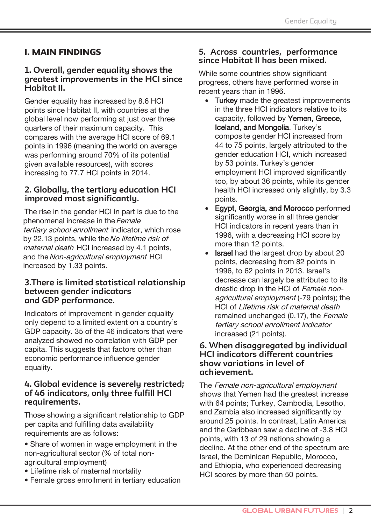## **I. MAIN FINDINGS**

#### 1. Overall, gender equality shows the areatest improvements in the HCI since Habitat II.

Gender equality has increased by 8.6 HCI points since Habitat II, with countries at the global level now performing at just over three quarters of their maximum capacity. This compares with the average HCI score of 69.1 points in 1996 (meaning the world on average was performing around 70% of its potential given available resources), with scores increasing to 77.7 HCI points in 2014.

#### 2. Globally, the tertiary education HCI improved most significantly.

The rise in the gender HCI in part is due to the phenomenal increase in the Female tertiary school enrollment indicator, which rose by 22.13 points, while the No lifetime risk of *maternal death* HCI increased by 4.1 points, and the Non-agricultural employment HCI increased by 1.33 points.

#### 3. There is limited statistical relationship between gender indicators and GDP performance.

Indicators of improvement in gender equality only depend to a limited extent on a country's GDP capacity. 35 of the 46 indicators that were analyzed showed no correlation with GDP per capita. This suggests that factors other than economic performance influence gender equality.

#### 4. Global evidence is severely restricted; of 46 indicators, only three fulfill HCI requirements.

Those showing a significant relationship to GDP per capita and fulfilling data availability requirements are as follows:

- Share of women in wage employment in the non-agricultural sector (% of total nonagricultural employment)
- Lifetime risk of maternal mortality
- Female gross enrollment in tertiary education

#### 5. Across countries, performance since Habitat II has been mixed.

While some countries show significant progress, others have performed worse in recent years than in 1996.

- Turkey made the greatest improvements in the three HCI indicators relative to its capacity, followed by Yemen, Greece, Iceland, and Mongolia. Turkey's composite gender HCI increased from 44 to 75 points, largely attributed to the gender education HCI, which increased by 53 points. Turkey's gender employment HCI improved significantly too, by about 36 points, while its gender health HCI increased only slightly, by 3.3 points.
- Eqypt, Georgia, and Morocco performed significantly worse in all three gender HCI indicators in recent years than in 1996, with a decreasing HCI score by more than 12 points.
- **Israel** had the largest drop by about 20  $\bullet$ points, decreasing from 82 points in 1996, to 62 points in 2013. Israel's decrease can largely be attributed to its drastic drop in the HCI of Female nonagricultural employment (-79 points); the HCI of Lifetime risk of maternal death remained unchanged (0.17), the Female tertiary school enrollment indicator increased (21 points).

#### 6. When disaggregated by individual **HCI indicators different countries** show variations in level of achievement.

The Female non-agricultural employment shows that Yemen had the greatest increase with 64 points; Turkey, Cambodia, Lesotho, and Zambia also increased significantly by around 25 points. In contrast, Latin America and the Caribbean saw a decline of -3.8 HCI points, with 13 of 29 nations showing a decline. At the other end of the spectrum are Israel, the Dominican Republic, Morocco. and Ethiopia, who experienced decreasing HCI scores by more than 50 points.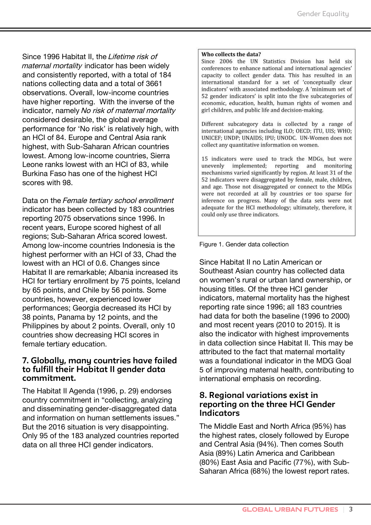Since 1996 Habitat II, the Lifetime risk of maternal mortality indicator has been widely and consistently reported, with a total of 184 nations collecting data and a total of 3661 observations. Overall, low-income countries have higher reporting. With the inverse of the indicator, namely No risk of maternal mortality considered desirable, the global average performance for 'No risk' is relatively high, with an HCI of 84. Europe and Central Asia rank highest, with Sub-Saharan African countries lowest. Among low-income countries, Sierra Leone ranks lowest with an HCI of 83, while Burkina Faso has one of the highest HCI scores with 98.

Data on the Female tertiary school enrollment indicator has been collected by 183 countries reporting 2075 observations since 1996. In recent years, Europe scored highest of all regions; Sub-Saharan Africa scored lowest. Among low-income countries Indonesia is the highest performer with an HCI of 33, Chad the lowest with an HCI of 0.6. Changes since Habitat II are remarkable; Albania increased its HCI for tertiary enrollment by 75 points, Iceland by 65 points, and Chile by 56 points. Some countries, however, experienced lower performances; Georgia decreased its HCI by 38 points, Panama by 12 points, and the Philippines by about 2 points. Overall, only 10 countries show decreasing HCI scores in female tertiary education.

#### **7.** Globally, many countries have failed to fulfill their Habitat II gender data commitment.

The Habitat II Agenda (1996, p. 29) endorses country commitment in "collecting, analyzing and disseminating gender-disaggregated data and information on human settlements issues." But the 2016 situation is very disappointing. Only 95 of the 183 analyzed countries reported data on all three HCI gender indicators.

#### Who collects the data?

Since 2006 the UN Statistics Division has held six conferences to enhance national and international agencies' capacity to collect gender data. This has resulted in an international standard for a set of 'conceptually clear indicators' with associated methodology. A 'minimum set of 52 gender indicators' is split into the five subcategories of economic, education, health, human rights of women and girl children, and public life and decision-making.

Different subcategory data is collected by a range of international agencies including ILO; OECD; ITU, UIS; WHO; UNICEF; UNDP; UNAIDS; IPU; UNODC. UN-Women does not collect any quantitative information on women.

15 indicators were used to track the MDGs, but were unevenly implemented; reporting and monitoring mechanisms varied significantly by region. At least 31 of the 52 indicators were disaggregated by female, male, children, and age. Those not disaggregated or connect to the MDGs were not recorded at all by countries or too sparse for inference on progress. Many of the data sets were not adequate for the HCI methodology; ultimately, therefore, it could only use three indicators.

Figure 1. Gender data collection

Since Habitat II no Latin American or Southeast Asian country has collected data on women's rural or urban land ownership, or housing titles. Of the three HCI gender indicators, maternal mortality has the highest reporting rate since 1996; all 183 countries had data for both the baseline (1996 to 2000) and most recent years (2010 to 2015). It is also the indicator with highest improvements in data collection since Habitat II. This may be attributed to the fact that maternal mortality was a foundational indicator in the MDG Goal 5 of improving maternal health, contributing to international emphasis on recording.

#### **8. Regional variations exist in reporting on the three HCI Gender Indicators**

The Middle East and North Africa (95%) has the highest rates, closely followed by Europe and Central Asia (94%). Then comes South Asia (89%) Latin America and Caribbean (80%) East Asia and Pacific (77%), with Sub-Saharan Africa (68%) the lowest report rates.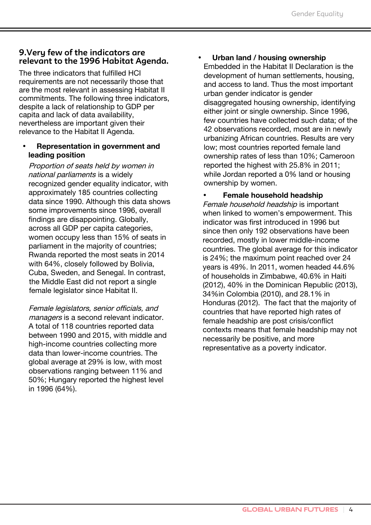#### 9. Very few of the indicators are relevant to the 1996 Habitat Agenda.

The three indicators that fulfilled HCI requirements are not necessarily those that are the most relevant in assessing Habitat II commitments. The following three indicators, despite a lack of relationship to GDP per capita and lack of data availability. nevertheless are important given their relevance to the Habitat II Agenda.

#### Representation in government and leading position

Proportion of seats held by women in national parliaments is a widely recognized gender equality indicator, with approximately 185 countries collecting data since 1990. Although this data shows some improvements since 1996, overall findings are disappointing. Globally, across all GDP per capita categories. women occupy less than 15% of seats in parliament in the majority of countries; Rwanda reported the most seats in 2014 with 64%, closely followed by Bolivia, Cuba, Sweden, and Senegal. In contrast, the Middle East did not report a single female legislator since Habitat II.

Female legislators, senior officials, and *managers* is a second relevant indicator. A total of 118 countries reported data between 1990 and 2015, with middle and high-income countries collecting more data than lower-income countries. The global average at 29% is low, with most observations ranging between 11% and 50%; Hungary reported the highest level in 1996 (64%).

#### Urban land / housing ownership

Embedded in the Habitat II Declaration is the development of human settlements, housing, and access to land. Thus the most important urban gender indicator is gender disaggregated housing ownership, identifying either joint or single ownership. Since 1996, few countries have collected such data; of the 42 observations recorded, most are in newly urbanizing African countries. Results are very low; most countries reported female land ownership rates of less than 10%; Cameroon reported the highest with 25.8% in 2011; while Jordan reported a 0% land or housing ownership by women.

Female household headship Female household headship is important when linked to women's empowerment. This indicator was first introduced in 1996 but since then only 192 observations have been recorded, mostly in lower middle-income countries. The global average for this indicator is 24%; the maximum point reached over 24 years is 49%. In 2011, women headed 44.6% of households in Zimbabwe, 40.6% in Haiti (2012), 40% in the Dominican Republic (2013), 34%in Colombia (2010), and 28.1% in Honduras (2012). The fact that the majority of countries that have reported high rates of female headship are post crisis/conflict contexts means that female headship may not necessarily be positive, and more representative as a poverty indicator.